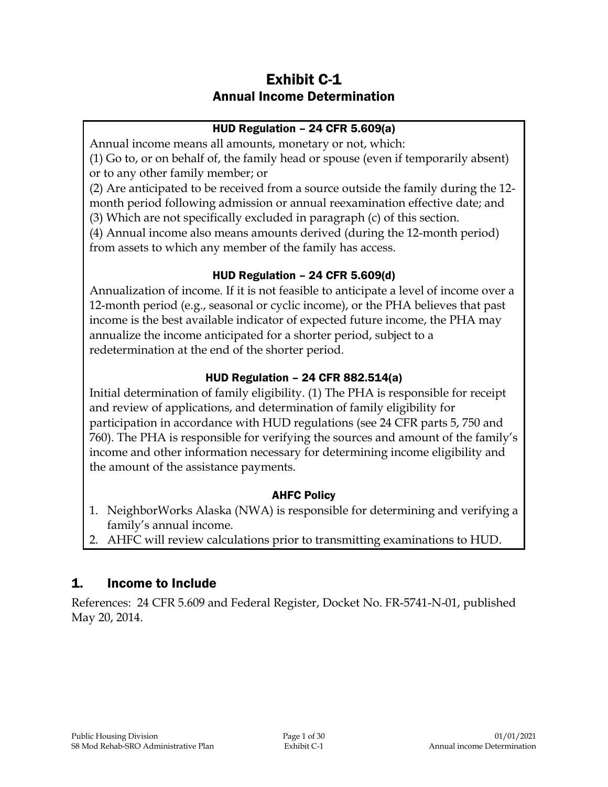# Exhibit C-1 Annual Income Determination

### HUD Regulation – 24 CFR 5.609(a)

Annual income means all amounts, monetary or not, which:

(1) Go to, or on behalf of, the family head or spouse (even if temporarily absent) or to any other family member; or

(2) Are anticipated to be received from a source outside the family during the 12 month period following admission or annual reexamination effective date; and (3) Which are not specifically excluded in paragraph (c) of this section.

(4) Annual income also means amounts derived (during the 12-month period) from assets to which any member of the family has access.

#### HUD Regulation – 24 CFR 5.609(d)

Annualization of income. If it is not feasible to anticipate a level of income over a 12-month period (e.g., seasonal or cyclic income), or the PHA believes that past income is the best available indicator of expected future income, the PHA may annualize the income anticipated for a shorter period, subject to a redetermination at the end of the shorter period.

## HUD Regulation – 24 CFR 882.514(a)

Initial determination of family eligibility. (1) The PHA is responsible for receipt and review of applications, and determination of family eligibility for participation in accordance with HUD regulations (see 24 CFR parts 5, 750 and 760). The PHA is responsible for verifying the sources and amount of the family's income and other information necessary for determining income eligibility and the amount of the assistance payments.

## AHFC Policy

- 1. NeighborWorks Alaska (NWA) is responsible for determining and verifying a family's annual income.
- 2. AHFC will review calculations prior to transmitting examinations to HUD.

# 1. Income to Include

References: 24 CFR 5.609 and Federal Register, Docket No. FR-5741-N-01, published May 20, 2014.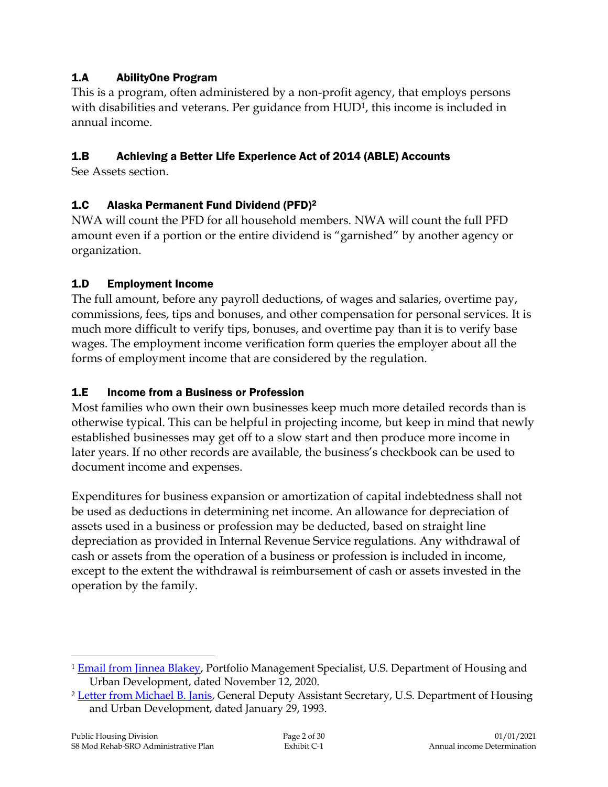## 1.A AbilityOne Program

This is a program, often administered by a non-profit agency, that employs persons with disabilities and veterans. Per guidance from HUD<sup>1</sup>, this income is included in annual income.

## 1.B Achieving a Better Life Experience Act of 2014 (ABLE) Accounts

See Assets section.

#### 1.C Alaska Permanent Fund Dividend (PFD)<sup>2</sup>

NWA will count the PFD for all household members. NWA will count the full PFD amount even if a portion or the entire dividend is "garnished" by another agency or organization.

#### 1.D Employment Income

The full amount, before any payroll deductions, of wages and salaries, overtime pay, commissions, fees, tips and bonuses, and other compensation for personal services. It is much more difficult to verify tips, bonuses, and overtime pay than it is to verify base wages. The employment income verification form queries the employer about all the forms of employment income that are considered by the regulation.

#### 1.E Income from a Business or Profession

Most families who own their own businesses keep much more detailed records than is otherwise typical. This can be helpful in projecting income, but keep in mind that newly established businesses may get off to a slow start and then produce more income in later years. If no other records are available, the business's checkbook can be used to document income and expenses.

Expenditures for business expansion or amortization of capital indebtedness shall not be used as deductions in determining net income. An allowance for depreciation of assets used in a business or profession may be deducted, based on straight line depreciation as provided in Internal Revenue Service regulations. Any withdrawal of cash or assets from the operation of a business or profession is included in income, except to the extent the withdrawal is reimbursement of cash or assets invested in the operation by the family.

 $\overline{a}$ 

<sup>1</sup> [Email from Jinnea Blakey,](https://intranet/download_file/18837/0) Portfolio Management Specialist, U.S. Department of Housing and Urban Development, dated November 12, 2020.

<sup>&</sup>lt;sup>2</sup> [Letter from Michael B. Janis,](https://intranet/download_file/14184) General Deputy Assistant Secretary, U.S. Department of Housing and Urban Development, dated January 29, 1993.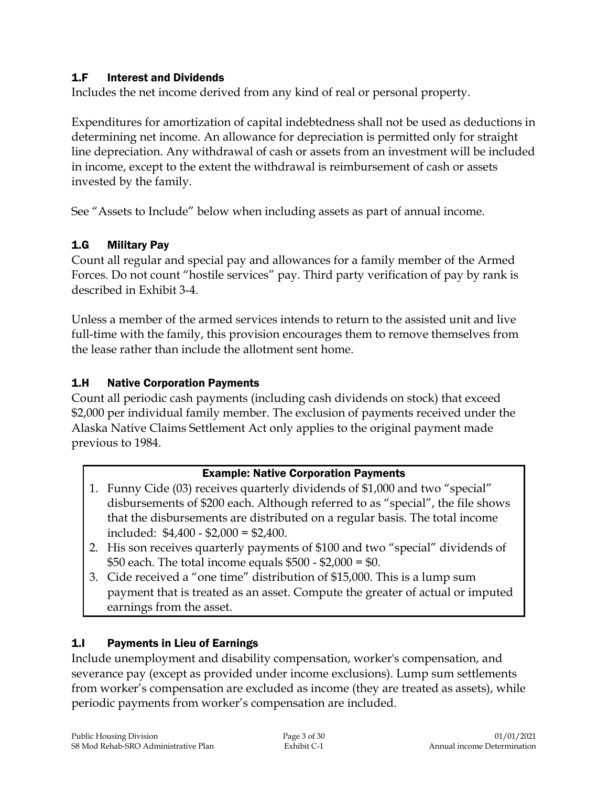#### 1.F Interest and Dividends

Includes the net income derived from any kind of real or personal property.

Expenditures for amortization of capital indebtedness shall not be used as deductions in determining net income. An allowance for depreciation is permitted only for straight line depreciation. Any withdrawal of cash or assets from an investment will be included in income, except to the extent the withdrawal is reimbursement of cash or assets invested by the family.

See "Assets to Include" below when including assets as part of annual income.

## 1.G Military Pay

Count all regular and special pay and allowances for a family member of the Armed Forces. Do not count "hostile services" pay. Third party verification of pay by rank is described in Exhibit 3-4.

Unless a member of the armed services intends to return to the assisted unit and live full-time with the family, this provision encourages them to remove themselves from the lease rather than include the allotment sent home.

## 1.H Native Corporation Payments

Count all periodic cash payments (including cash dividends on stock) that exceed \$2,000 per individual family member. The exclusion of payments received under the Alaska Native Claims Settlement Act only applies to the original payment made previous to 1984.

#### Example: Native Corporation Payments

- 1. Funny Cide (03) receives quarterly dividends of \$1,000 and two "special" disbursements of \$200 each. Although referred to as "special", the file shows that the disbursements are distributed on a regular basis. The total income included: \$4,400 - \$2,000 = \$2,400.
- 2. His son receives quarterly payments of \$100 and two "special" dividends of \$50 each. The total income equals \$500 - \$2,000 = \$0.
- 3. Cide received a "one time" distribution of \$15,000. This is a lump sum payment that is treated as an asset. Compute the greater of actual or imputed earnings from the asset.

## 1.I Payments in Lieu of Earnings

Include unemployment and disability compensation, worker's compensation, and severance pay (except as provided under income exclusions). Lump sum settlements from worker's compensation are excluded as income (they are treated as assets), while periodic payments from worker's compensation are included.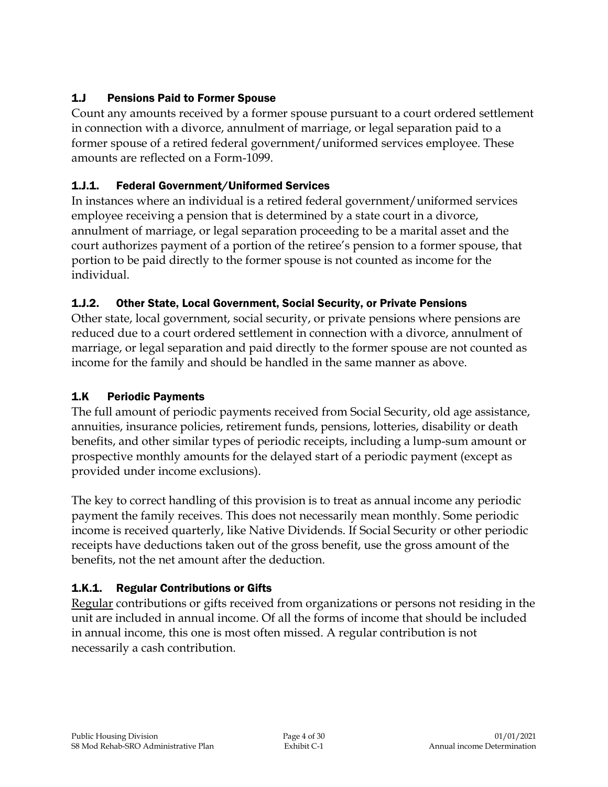## 1.J Pensions Paid to Former Spouse

Count any amounts received by a former spouse pursuant to a court ordered settlement in connection with a divorce, annulment of marriage, or legal separation paid to a former spouse of a retired federal government/uniformed services employee. These amounts are reflected on a Form-1099.

## 1.J.1. Federal Government/Uniformed Services

In instances where an individual is a retired federal government/uniformed services employee receiving a pension that is determined by a state court in a divorce, annulment of marriage, or legal separation proceeding to be a marital asset and the court authorizes payment of a portion of the retiree's pension to a former spouse, that portion to be paid directly to the former spouse is not counted as income for the individual.

## 1.J.2. Other State, Local Government, Social Security, or Private Pensions

Other state, local government, social security, or private pensions where pensions are reduced due to a court ordered settlement in connection with a divorce, annulment of marriage, or legal separation and paid directly to the former spouse are not counted as income for the family and should be handled in the same manner as above.

## 1.K Periodic Payments

The full amount of periodic payments received from Social Security, old age assistance, annuities, insurance policies, retirement funds, pensions, lotteries, disability or death benefits, and other similar types of periodic receipts, including a lump-sum amount or prospective monthly amounts for the delayed start of a periodic payment (except as provided under income exclusions).

The key to correct handling of this provision is to treat as annual income any periodic payment the family receives. This does not necessarily mean monthly. Some periodic income is received quarterly, like Native Dividends. If Social Security or other periodic receipts have deductions taken out of the gross benefit, use the gross amount of the benefits, not the net amount after the deduction.

# 1.K.1. Regular Contributions or Gifts

Regular contributions or gifts received from organizations or persons not residing in the unit are included in annual income. Of all the forms of income that should be included in annual income, this one is most often missed. A regular contribution is not necessarily a cash contribution.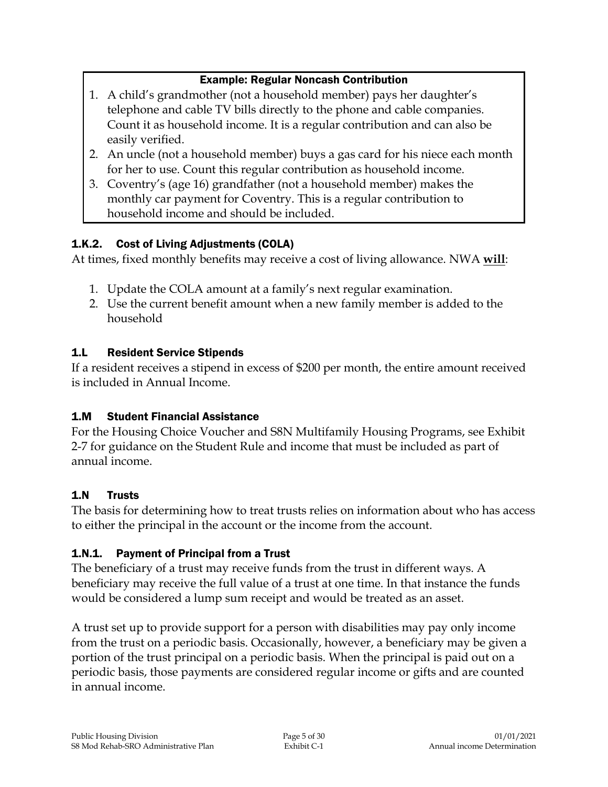## Example: Regular Noncash Contribution

- 1. A child's grandmother (not a household member) pays her daughter's telephone and cable TV bills directly to the phone and cable companies. Count it as household income. It is a regular contribution and can also be easily verified.
- 2. An uncle (not a household member) buys a gas card for his niece each month for her to use. Count this regular contribution as household income.
- 3. Coventry's (age 16) grandfather (not a household member) makes the monthly car payment for Coventry. This is a regular contribution to household income and should be included.

## 1.K.2. Cost of Living Adjustments (COLA)

At times, fixed monthly benefits may receive a cost of living allowance. NWA **will**:

- 1. Update the COLA amount at a family's next regular examination.
- 2. Use the current benefit amount when a new family member is added to the household

## 1.L Resident Service Stipends

If a resident receives a stipend in excess of \$200 per month, the entire amount received is included in Annual Income.

## 1.M Student Financial Assistance

For the Housing Choice Voucher and S8N Multifamily Housing Programs, see Exhibit 2-7 for guidance on the Student Rule and income that must be included as part of annual income.

## 1.N Trusts

The basis for determining how to treat trusts relies on information about who has access to either the principal in the account or the income from the account.

#### 1.N.1. Payment of Principal from a Trust

The beneficiary of a trust may receive funds from the trust in different ways. A beneficiary may receive the full value of a trust at one time. In that instance the funds would be considered a lump sum receipt and would be treated as an asset.

A trust set up to provide support for a person with disabilities may pay only income from the trust on a periodic basis. Occasionally, however, a beneficiary may be given a portion of the trust principal on a periodic basis. When the principal is paid out on a periodic basis, those payments are considered regular income or gifts and are counted in annual income.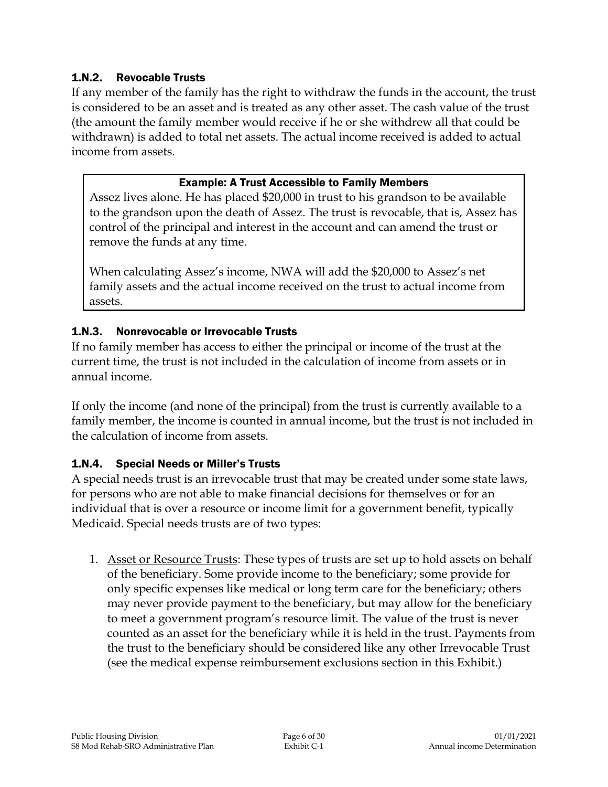#### 1.N.2. Revocable Trusts

If any member of the family has the right to withdraw the funds in the account, the trust is considered to be an asset and is treated as any other asset. The cash value of the trust (the amount the family member would receive if he or she withdrew all that could be withdrawn) is added to total net assets. The actual income received is added to actual income from assets.

#### Example: A Trust Accessible to Family Members

Assez lives alone. He has placed \$20,000 in trust to his grandson to be available to the grandson upon the death of Assez. The trust is revocable, that is, Assez has control of the principal and interest in the account and can amend the trust or remove the funds at any time.

When calculating Assez's income, NWA will add the \$20,000 to Assez's net family assets and the actual income received on the trust to actual income from assets.

#### 1.N.3. Nonrevocable or Irrevocable Trusts

If no family member has access to either the principal or income of the trust at the current time, the trust is not included in the calculation of income from assets or in annual income.

If only the income (and none of the principal) from the trust is currently available to a family member, the income is counted in annual income, but the trust is not included in the calculation of income from assets.

#### 1.N.4. Special Needs or Miller's Trusts

A special needs trust is an irrevocable trust that may be created under some state laws, for persons who are not able to make financial decisions for themselves or for an individual that is over a resource or income limit for a government benefit, typically Medicaid. Special needs trusts are of two types:

1. Asset or Resource Trusts: These types of trusts are set up to hold assets on behalf of the beneficiary. Some provide income to the beneficiary; some provide for only specific expenses like medical or long term care for the beneficiary; others may never provide payment to the beneficiary, but may allow for the beneficiary to meet a government program's resource limit. The value of the trust is never counted as an asset for the beneficiary while it is held in the trust. Payments from the trust to the beneficiary should be considered like any other Irrevocable Trust (see the medical expense reimbursement exclusions section in this Exhibit.)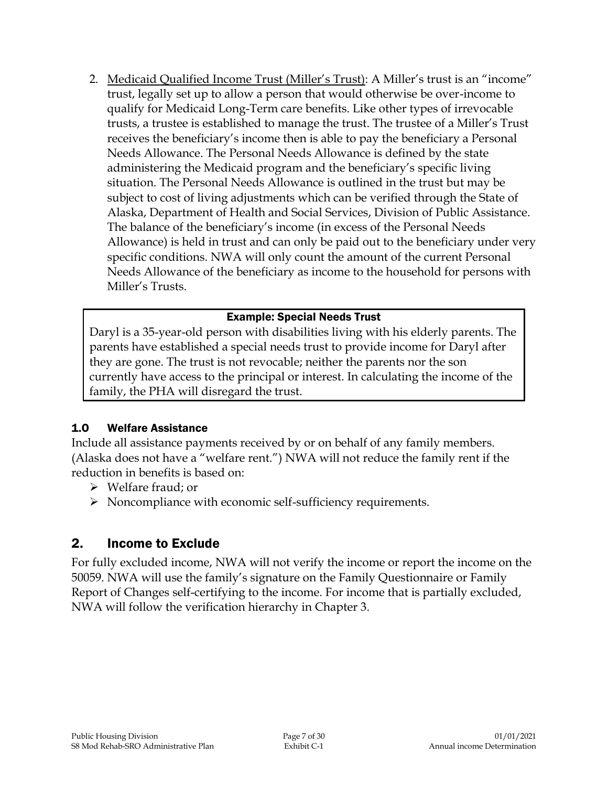2. Medicaid Qualified Income Trust (Miller's Trust): A Miller's trust is an "income" trust, legally set up to allow a person that would otherwise be over-income to qualify for Medicaid Long-Term care benefits. Like other types of irrevocable trusts, a trustee is established to manage the trust. The trustee of a Miller's Trust receives the beneficiary's income then is able to pay the beneficiary a Personal Needs Allowance. The Personal Needs Allowance is defined by the state administering the Medicaid program and the beneficiary's specific living situation. The Personal Needs Allowance is outlined in the trust but may be subject to cost of living adjustments which can be verified through the State of Alaska, Department of Health and Social Services, Division of Public Assistance. The balance of the beneficiary's income (in excess of the Personal Needs Allowance) is held in trust and can only be paid out to the beneficiary under very specific conditions. NWA will only count the amount of the current Personal Needs Allowance of the beneficiary as income to the household for persons with Miller's Trusts.

#### Example: Special Needs Trust

Daryl is a 35-year-old person with disabilities living with his elderly parents. The parents have established a special needs trust to provide income for Daryl after they are gone. The trust is not revocable; neither the parents nor the son currently have access to the principal or interest. In calculating the income of the family, the PHA will disregard the trust.

#### 1.O Welfare Assistance

Include all assistance payments received by or on behalf of any family members. (Alaska does not have a "welfare rent.") NWA will not reduce the family rent if the reduction in benefits is based on:

- Welfare fraud; or
- $\triangleright$  Noncompliance with economic self-sufficiency requirements.

# 2. Income to Exclude

For fully excluded income, NWA will not verify the income or report the income on the 50059. NWA will use the family's signature on the Family Questionnaire or Family Report of Changes self-certifying to the income. For income that is partially excluded, NWA will follow the verification hierarchy in Chapter 3.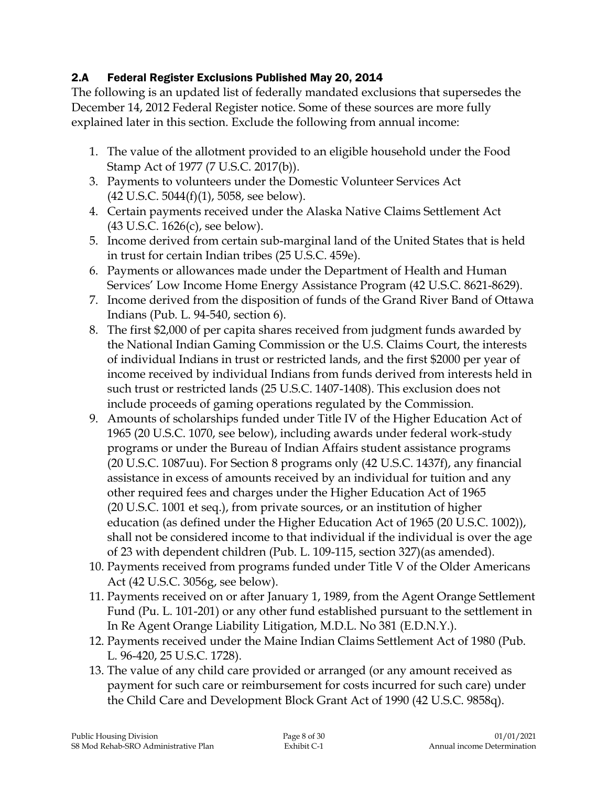## 2.A Federal Register Exclusions Published May 20, 2014

The following is an updated list of federally mandated exclusions that supersedes the December 14, 2012 Federal Register notice. Some of these sources are more fully explained later in this section. Exclude the following from annual income:

- 1. The value of the allotment provided to an eligible household under the Food Stamp Act of 1977 (7 U.S.C. 2017(b)).
- 3. Payments to volunteers under the Domestic Volunteer Services Act (42 U.S.C. 5044(f)(1), 5058, see below).
- 4. Certain payments received under the Alaska Native Claims Settlement Act (43 U.S.C. 1626(c), see below).
- 5. Income derived from certain sub-marginal land of the United States that is held in trust for certain Indian tribes (25 U.S.C. 459e).
- 6. Payments or allowances made under the Department of Health and Human Services' Low Income Home Energy Assistance Program (42 U.S.C. 8621-8629).
- 7. Income derived from the disposition of funds of the Grand River Band of Ottawa Indians (Pub. L. 94-540, section 6).
- 8. The first \$2,000 of per capita shares received from judgment funds awarded by the National Indian Gaming Commission or the U.S. Claims Court, the interests of individual Indians in trust or restricted lands, and the first \$2000 per year of income received by individual Indians from funds derived from interests held in such trust or restricted lands (25 U.S.C. 1407-1408). This exclusion does not include proceeds of gaming operations regulated by the Commission.
- 9. Amounts of scholarships funded under Title IV of the Higher Education Act of 1965 (20 U.S.C. 1070, see below), including awards under federal work-study programs or under the Bureau of Indian Affairs student assistance programs (20 U.S.C. 1087uu). For Section 8 programs only (42 U.S.C. 1437f), any financial assistance in excess of amounts received by an individual for tuition and any other required fees and charges under the Higher Education Act of 1965 (20 U.S.C. 1001 et seq.), from private sources, or an institution of higher education (as defined under the Higher Education Act of 1965 (20 U.S.C. 1002)), shall not be considered income to that individual if the individual is over the age of 23 with dependent children (Pub. L. 109-115, section 327)(as amended).
- 10. Payments received from programs funded under Title V of the Older Americans Act (42 U.S.C. 3056g, see below).
- 11. Payments received on or after January 1, 1989, from the Agent Orange Settlement Fund (Pu. L. 101-201) or any other fund established pursuant to the settlement in In Re Agent Orange Liability Litigation, M.D.L. No 381 (E.D.N.Y.).
- 12. Payments received under the Maine Indian Claims Settlement Act of 1980 (Pub. L. 96-420, 25 U.S.C. 1728).
- 13. The value of any child care provided or arranged (or any amount received as payment for such care or reimbursement for costs incurred for such care) under the Child Care and Development Block Grant Act of 1990 (42 U.S.C. 9858q).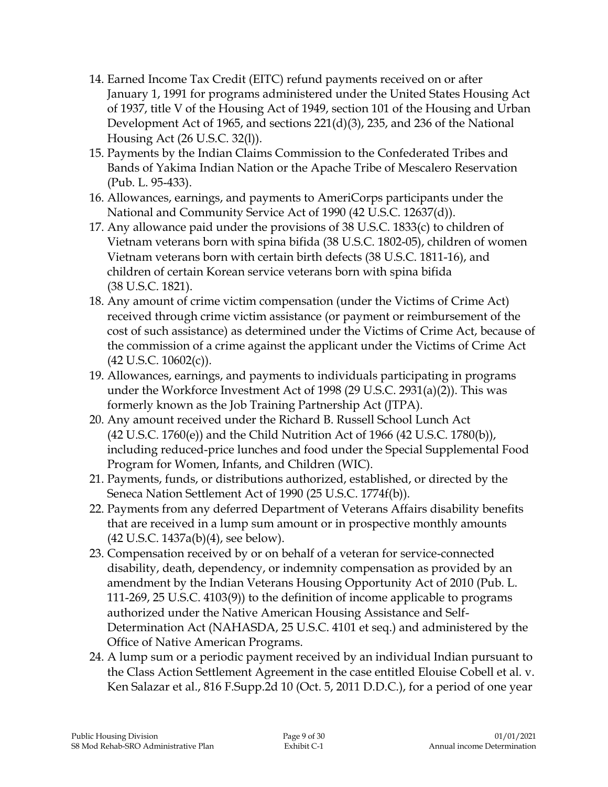- 14. Earned Income Tax Credit (EITC) refund payments received on or after January 1, 1991 for programs administered under the United States Housing Act of 1937, title V of the Housing Act of 1949, section 101 of the Housing and Urban Development Act of 1965, and sections 221(d)(3), 235, and 236 of the National Housing Act (26 U.S.C. 32(l)).
- 15. Payments by the Indian Claims Commission to the Confederated Tribes and Bands of Yakima Indian Nation or the Apache Tribe of Mescalero Reservation (Pub. L. 95-433).
- 16. Allowances, earnings, and payments to AmeriCorps participants under the National and Community Service Act of 1990 (42 U.S.C. 12637(d)).
- 17. Any allowance paid under the provisions of 38 U.S.C. 1833(c) to children of Vietnam veterans born with spina bifida (38 U.S.C. 1802-05), children of women Vietnam veterans born with certain birth defects (38 U.S.C. 1811-16), and children of certain Korean service veterans born with spina bifida (38 U.S.C. 1821).
- 18. Any amount of crime victim compensation (under the Victims of Crime Act) received through crime victim assistance (or payment or reimbursement of the cost of such assistance) as determined under the Victims of Crime Act, because of the commission of a crime against the applicant under the Victims of Crime Act (42 U.S.C. 10602(c)).
- 19. Allowances, earnings, and payments to individuals participating in programs under the Workforce Investment Act of 1998 (29 U.S.C. 2931(a)(2)). This was formerly known as the Job Training Partnership Act (JTPA).
- 20. Any amount received under the Richard B. Russell School Lunch Act (42 U.S.C. 1760(e)) and the Child Nutrition Act of 1966 (42 U.S.C. 1780(b)), including reduced-price lunches and food under the Special Supplemental Food Program for Women, Infants, and Children (WIC).
- 21. Payments, funds, or distributions authorized, established, or directed by the Seneca Nation Settlement Act of 1990 (25 U.S.C. 1774f(b)).
- 22. Payments from any deferred Department of Veterans Affairs disability benefits that are received in a lump sum amount or in prospective monthly amounts (42 U.S.C. 1437a(b)(4), see below).
- 23. Compensation received by or on behalf of a veteran for service-connected disability, death, dependency, or indemnity compensation as provided by an amendment by the Indian Veterans Housing Opportunity Act of 2010 (Pub. L. 111-269, 25 U.S.C. 4103(9)) to the definition of income applicable to programs authorized under the Native American Housing Assistance and Self-Determination Act (NAHASDA, 25 U.S.C. 4101 et seq.) and administered by the Office of Native American Programs.
- 24. A lump sum or a periodic payment received by an individual Indian pursuant to the Class Action Settlement Agreement in the case entitled Elouise Cobell et al. v. Ken Salazar et al., 816 F.Supp.2d 10 (Oct. 5, 2011 D.D.C.), for a period of one year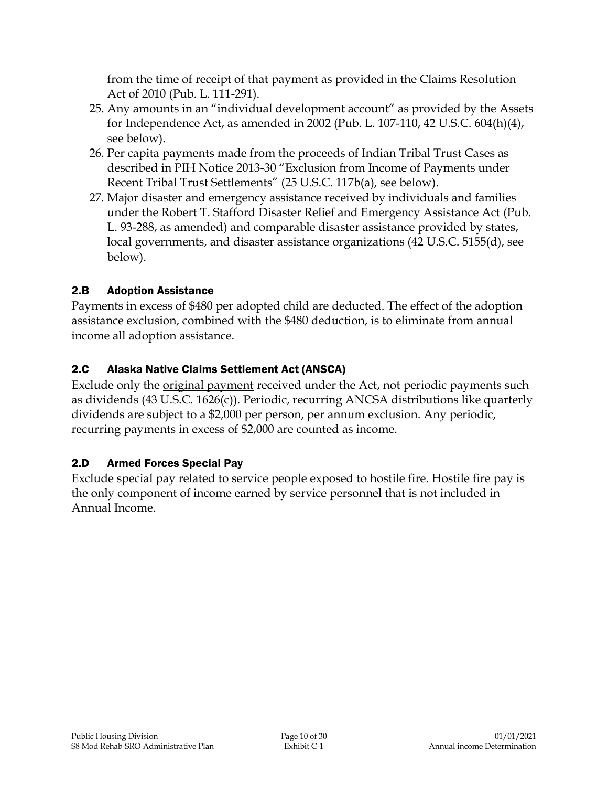from the time of receipt of that payment as provided in the Claims Resolution Act of 2010 (Pub. L. 111-291).

- 25. Any amounts in an "individual development account" as provided by the Assets for Independence Act, as amended in 2002 (Pub. L. 107-110, 42 U.S.C. 604(h)(4), see below).
- 26. Per capita payments made from the proceeds of Indian Tribal Trust Cases as described in PIH Notice 2013-30 "Exclusion from Income of Payments under Recent Tribal Trust Settlements" (25 U.S.C. 117b(a), see below).
- 27. Major disaster and emergency assistance received by individuals and families under the Robert T. Stafford Disaster Relief and Emergency Assistance Act (Pub. L. 93-288, as amended) and comparable disaster assistance provided by states, local governments, and disaster assistance organizations (42 U.S.C. 5155(d), see below).

## 2.B Adoption Assistance

Payments in excess of \$480 per adopted child are deducted. The effect of the adoption assistance exclusion, combined with the \$480 deduction, is to eliminate from annual income all adoption assistance.

## 2.C Alaska Native Claims Settlement Act (ANSCA)

Exclude only the original payment received under the Act, not periodic payments such as dividends (43 U.S.C. 1626(c)). Periodic, recurring ANCSA distributions like quarterly dividends are subject to a \$2,000 per person, per annum exclusion. Any periodic, recurring payments in excess of \$2,000 are counted as income.

## 2.D Armed Forces Special Pay

Exclude special pay related to service people exposed to hostile fire. Hostile fire pay is the only component of income earned by service personnel that is not included in Annual Income.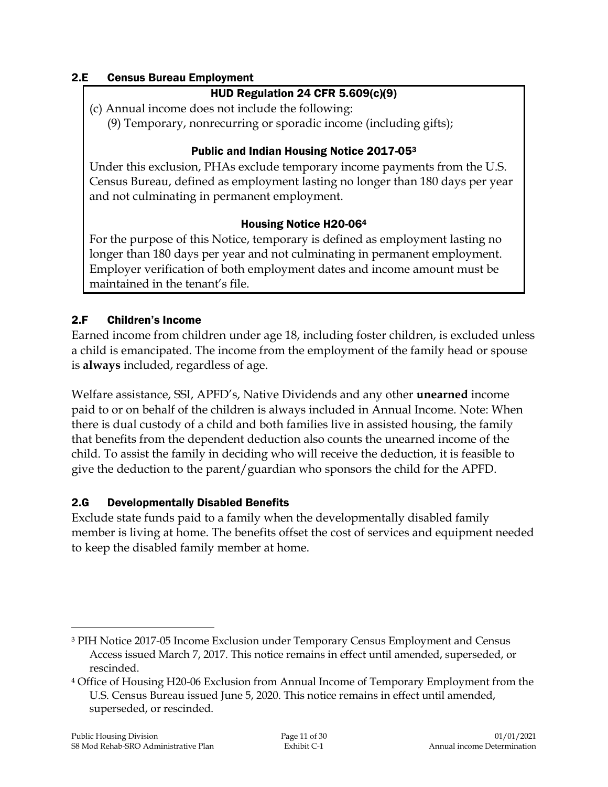#### 2.E Census Bureau Employment

#### HUD Regulation 24 CFR 5.609(c)(9)

(c) Annual income does not include the following:

(9) Temporary, nonrecurring or sporadic income (including gifts);

#### Public and Indian Housing Notice 2017-05<sup>3</sup>

Under this exclusion, PHAs exclude temporary income payments from the U.S. Census Bureau, defined as employment lasting no longer than 180 days per year and not culminating in permanent employment.

#### Housing Notice H20-06<sup>4</sup>

For the purpose of this Notice, temporary is defined as employment lasting no longer than 180 days per year and not culminating in permanent employment. Employer verification of both employment dates and income amount must be maintained in the tenant's file.

#### 2.F Children's Income

Earned income from children under age 18, including foster children, is excluded unless a child is emancipated. The income from the employment of the family head or spouse is **always** included, regardless of age.

Welfare assistance, SSI, APFD's, Native Dividends and any other **unearned** income paid to or on behalf of the children is always included in Annual Income. Note: When there is dual custody of a child and both families live in assisted housing, the family that benefits from the dependent deduction also counts the unearned income of the child. To assist the family in deciding who will receive the deduction, it is feasible to give the deduction to the parent/guardian who sponsors the child for the APFD.

#### 2.G Developmentally Disabled Benefits

Exclude state funds paid to a family when the developmentally disabled family member is living at home. The benefits offset the cost of services and equipment needed to keep the disabled family member at home.

 $\overline{a}$ 

<sup>3</sup> PIH Notice 2017-05 Income Exclusion under Temporary Census Employment and Census Access issued March 7, 2017. This notice remains in effect until amended, superseded, or rescinded.

<sup>4</sup> Office of Housing H20-06 Exclusion from Annual Income of Temporary Employment from the U.S. Census Bureau issued June 5, 2020. This notice remains in effect until amended, superseded, or rescinded.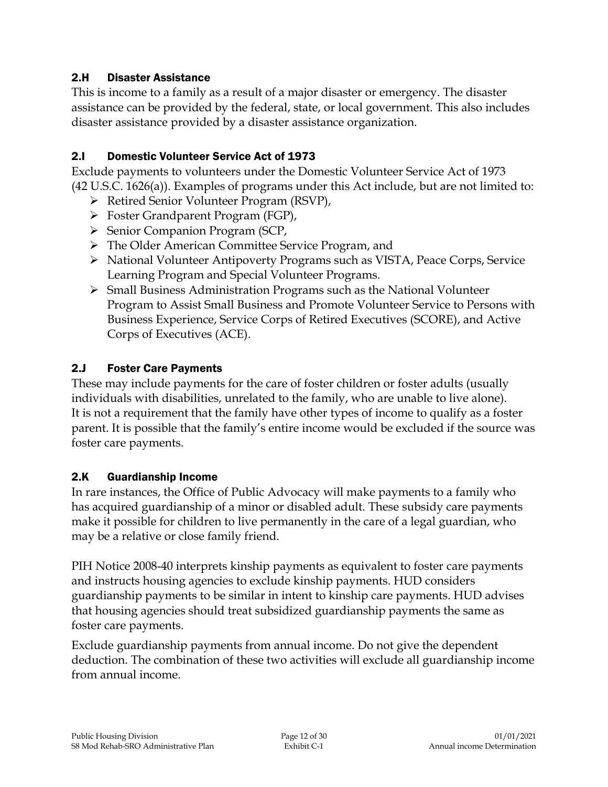#### 2.H Disaster Assistance

This is income to a family as a result of a major disaster or emergency. The disaster assistance can be provided by the federal, state, or local government. This also includes disaster assistance provided by a disaster assistance organization.

#### 2.I Domestic Volunteer Service Act of 1973

Exclude payments to volunteers under the Domestic Volunteer Service Act of 1973 (42 U.S.C. 1626(a)). Examples of programs under this Act include, but are not limited to:

- Retired Senior Volunteer Program (RSVP),
- Foster Grandparent Program (FGP),
- $\triangleright$  Senior Companion Program (SCP,
- > The Older American Committee Service Program, and
- National Volunteer Antipoverty Programs such as VISTA, Peace Corps, Service Learning Program and Special Volunteer Programs.
- $\triangleright$  Small Business Administration Programs such as the National Volunteer Program to Assist Small Business and Promote Volunteer Service to Persons with Business Experience, Service Corps of Retired Executives (SCORE), and Active Corps of Executives (ACE).

#### 2.J Foster Care Payments

These may include payments for the care of foster children or foster adults (usually individuals with disabilities, unrelated to the family, who are unable to live alone). It is not a requirement that the family have other types of income to qualify as a foster parent. It is possible that the family's entire income would be excluded if the source was foster care payments.

#### 2.K Guardianship Income

In rare instances, the Office of Public Advocacy will make payments to a family who has acquired guardianship of a minor or disabled adult. These subsidy care payments make it possible for children to live permanently in the care of a legal guardian, who may be a relative or close family friend.

PIH Notice 2008-40 interprets kinship payments as equivalent to foster care payments and instructs housing agencies to exclude kinship payments. HUD considers guardianship payments to be similar in intent to kinship care payments. HUD advises that housing agencies should treat subsidized guardianship payments the same as foster care payments.

Exclude guardianship payments from annual income. Do not give the dependent deduction. The combination of these two activities will exclude all guardianship income from annual income.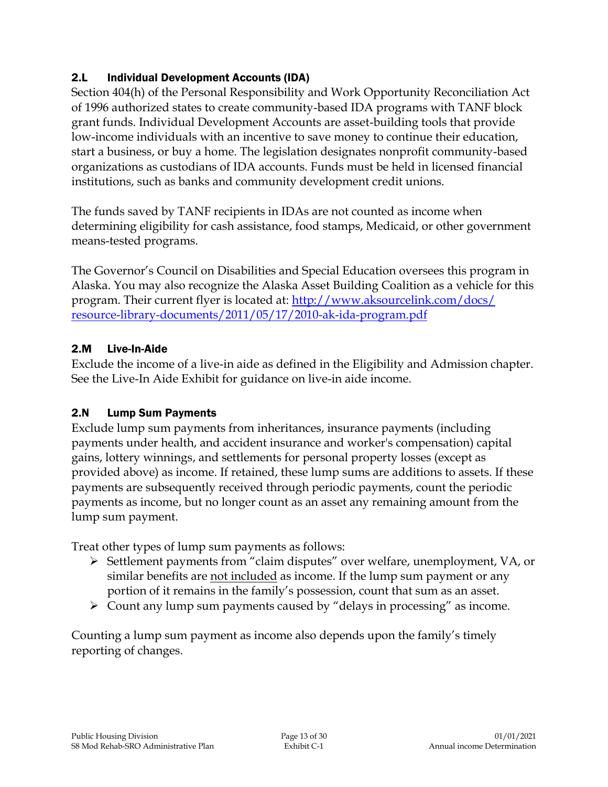### 2.L Individual Development Accounts (IDA)

Section 404(h) of the Personal Responsibility and Work Opportunity Reconciliation Act of 1996 authorized states to create community-based IDA programs with TANF block grant funds. Individual Development Accounts are asset-building tools that provide low-income individuals with an incentive to save money to continue their education, start a business, or buy a home. The legislation designates nonprofit community-based organizations as custodians of IDA accounts. Funds must be held in licensed financial institutions, such as banks and community development credit unions.

The funds saved by TANF recipients in IDAs are not counted as income when determining eligibility for cash assistance, food stamps, Medicaid, or other government means-tested programs.

The Governor's Council on Disabilities and Special Education oversees this program in Alaska. You may also recognize the Alaska Asset Building Coalition as a vehicle for this program. Their current flyer is located at: [http://www.aksourcelink.com/docs/](http://www.aksourcelink.com/docs/%0bresource-library-documents/2011/05/17/2010-ak-ida-program.pdf) [resource-library-documents/2011/05/17/2010-ak-ida-program.pdf](http://www.aksourcelink.com/docs/%0bresource-library-documents/2011/05/17/2010-ak-ida-program.pdf)

## 2.M Live-In-Aide

Exclude the income of a live-in aide as defined in the Eligibility and Admission chapter. See the Live-In Aide Exhibit for guidance on live-in aide income.

## 2.N Lump Sum Payments

Exclude lump sum payments from inheritances, insurance payments (including payments under health, and accident insurance and worker's compensation) capital gains, lottery winnings, and settlements for personal property losses (except as provided above) as income. If retained, these lump sums are additions to assets. If these payments are subsequently received through periodic payments, count the periodic payments as income, but no longer count as an asset any remaining amount from the lump sum payment.

Treat other types of lump sum payments as follows:

- Settlement payments from "claim disputes" over welfare, unemployment, VA, or similar benefits are not included as income. If the lump sum payment or any portion of it remains in the family's possession, count that sum as an asset.
- $\triangleright$  Count any lump sum payments caused by "delays in processing" as income.

Counting a lump sum payment as income also depends upon the family's timely reporting of changes.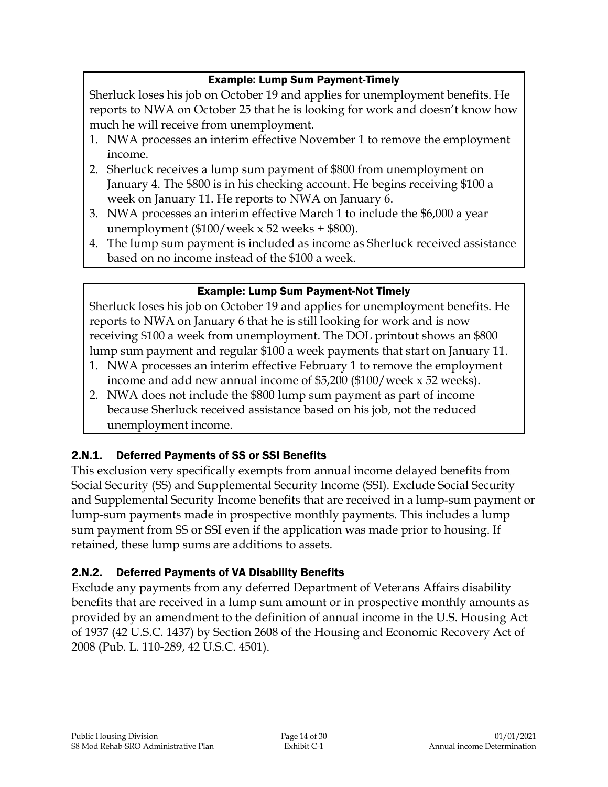## Example: Lump Sum Payment-Timely

Sherluck loses his job on October 19 and applies for unemployment benefits. He reports to NWA on October 25 that he is looking for work and doesn't know how much he will receive from unemployment.

- 1. NWA processes an interim effective November 1 to remove the employment income.
- 2. Sherluck receives a lump sum payment of \$800 from unemployment on January 4. The \$800 is in his checking account. He begins receiving \$100 a week on January 11. He reports to NWA on January 6.
- 3. NWA processes an interim effective March 1 to include the \$6,000 a year unemployment  $(\$100/$  week x 52 weeks + \$800).
- 4. The lump sum payment is included as income as Sherluck received assistance based on no income instead of the \$100 a week.

## Example: Lump Sum Payment-Not Timely

Sherluck loses his job on October 19 and applies for unemployment benefits. He reports to NWA on January 6 that he is still looking for work and is now receiving \$100 a week from unemployment. The DOL printout shows an \$800 lump sum payment and regular \$100 a week payments that start on January 11.

- 1. NWA processes an interim effective February 1 to remove the employment income and add new annual income of \$5,200 (\$100/week x 52 weeks).
- 2. NWA does not include the \$800 lump sum payment as part of income because Sherluck received assistance based on his job, not the reduced unemployment income.

## 2.N.1. Deferred Payments of SS or SSI Benefits

This exclusion very specifically exempts from annual income delayed benefits from Social Security (SS) and Supplemental Security Income (SSI). Exclude Social Security and Supplemental Security Income benefits that are received in a lump-sum payment or lump-sum payments made in prospective monthly payments. This includes a lump sum payment from SS or SSI even if the application was made prior to housing. If retained, these lump sums are additions to assets.

## 2.N.2. Deferred Payments of VA Disability Benefits

Exclude any payments from any deferred Department of Veterans Affairs disability benefits that are received in a lump sum amount or in prospective monthly amounts as provided by an amendment to the definition of annual income in the U.S. Housing Act of 1937 (42 U.S.C. 1437) by Section 2608 of the Housing and Economic Recovery Act of 2008 (Pub. L. 110-289, 42 U.S.C. 4501).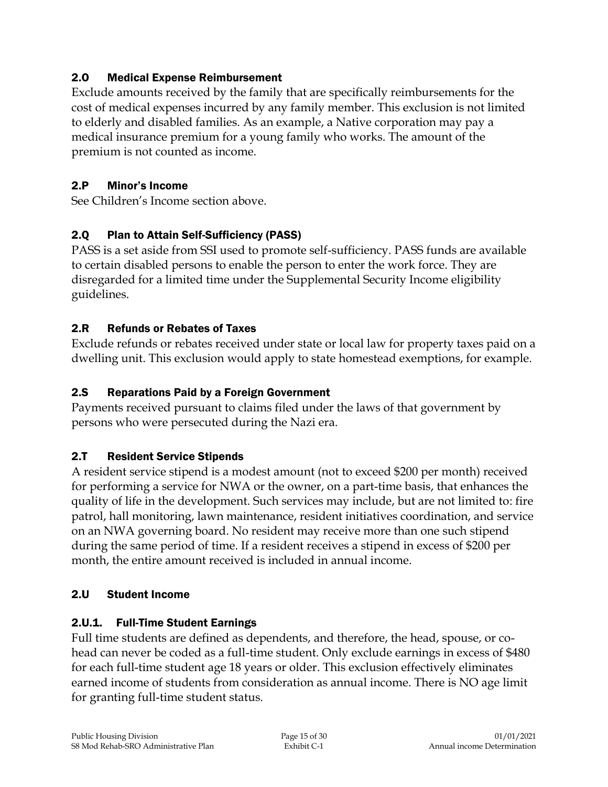#### 2.O Medical Expense Reimbursement

Exclude amounts received by the family that are specifically reimbursements for the cost of medical expenses incurred by any family member. This exclusion is not limited to elderly and disabled families. As an example, a Native corporation may pay a medical insurance premium for a young family who works. The amount of the premium is not counted as income.

## 2.P Minor's Income

See Children's Income section above.

## 2.Q Plan to Attain Self-Sufficiency (PASS)

PASS is a set aside from SSI used to promote self-sufficiency. PASS funds are available to certain disabled persons to enable the person to enter the work force. They are disregarded for a limited time under the Supplemental Security Income eligibility guidelines.

## 2.R Refunds or Rebates of Taxes

Exclude refunds or rebates received under state or local law for property taxes paid on a dwelling unit. This exclusion would apply to state homestead exemptions, for example.

## 2.S Reparations Paid by a Foreign Government

Payments received pursuant to claims filed under the laws of that government by persons who were persecuted during the Nazi era.

## 2.T Resident Service Stipends

A resident service stipend is a modest amount (not to exceed \$200 per month) received for performing a service for NWA or the owner, on a part-time basis, that enhances the quality of life in the development. Such services may include, but are not limited to: fire patrol, hall monitoring, lawn maintenance, resident initiatives coordination, and service on an NWA governing board. No resident may receive more than one such stipend during the same period of time. If a resident receives a stipend in excess of \$200 per month, the entire amount received is included in annual income.

#### 2.U Student Income

## 2.U.1. Full-Time Student Earnings

Full time students are defined as dependents, and therefore, the head, spouse, or cohead can never be coded as a full-time student. Only exclude earnings in excess of \$480 for each full-time student age 18 years or older. This exclusion effectively eliminates earned income of students from consideration as annual income. There is NO age limit for granting full-time student status.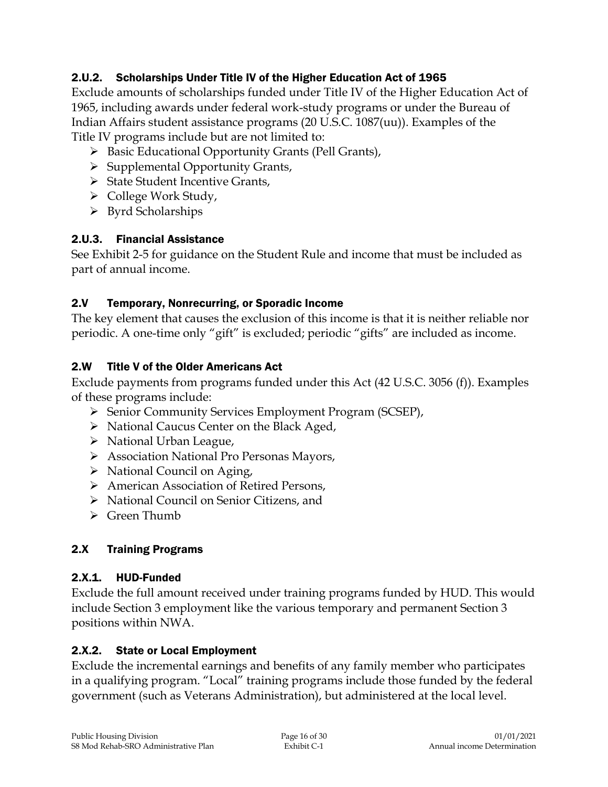## 2.U.2. Scholarships Under Title IV of the Higher Education Act of 1965

Exclude amounts of scholarships funded under Title IV of the Higher Education Act of 1965, including awards under federal work-study programs or under the Bureau of Indian Affairs student assistance programs (20 U.S.C. 1087(uu)). Examples of the Title IV programs include but are not limited to:

- ▶ Basic Educational Opportunity Grants (Pell Grants),
- $\triangleright$  Supplemental Opportunity Grants,
- $\triangleright$  State Student Incentive Grants,
- $\triangleright$  College Work Study,
- $\triangleright$  Byrd Scholarships

#### 2.U.3. Financial Assistance

See Exhibit 2-5 for guidance on the Student Rule and income that must be included as part of annual income.

#### 2.V Temporary, Nonrecurring, or Sporadic Income

The key element that causes the exclusion of this income is that it is neither reliable nor periodic. A one-time only "gift" is excluded; periodic "gifts" are included as income.

#### 2.W Title V of the Older Americans Act

Exclude payments from programs funded under this Act (42 U.S.C. 3056 (f)). Examples of these programs include:

- Senior Community Services Employment Program (SCSEP),
- $\triangleright$  National Caucus Center on the Black Aged,
- $\triangleright$  National Urban League,
- Association National Pro Personas Mayors,
- $\triangleright$  National Council on Aging,
- American Association of Retired Persons,
- ▶ National Council on Senior Citizens, and
- $\triangleright$  Green Thumb

#### 2.X Training Programs

#### 2.X.1. HUD-Funded

Exclude the full amount received under training programs funded by HUD. This would include Section 3 employment like the various temporary and permanent Section 3 positions within NWA.

#### 2.X.2. State or Local Employment

Exclude the incremental earnings and benefits of any family member who participates in a qualifying program. "Local" training programs include those funded by the federal government (such as Veterans Administration), but administered at the local level.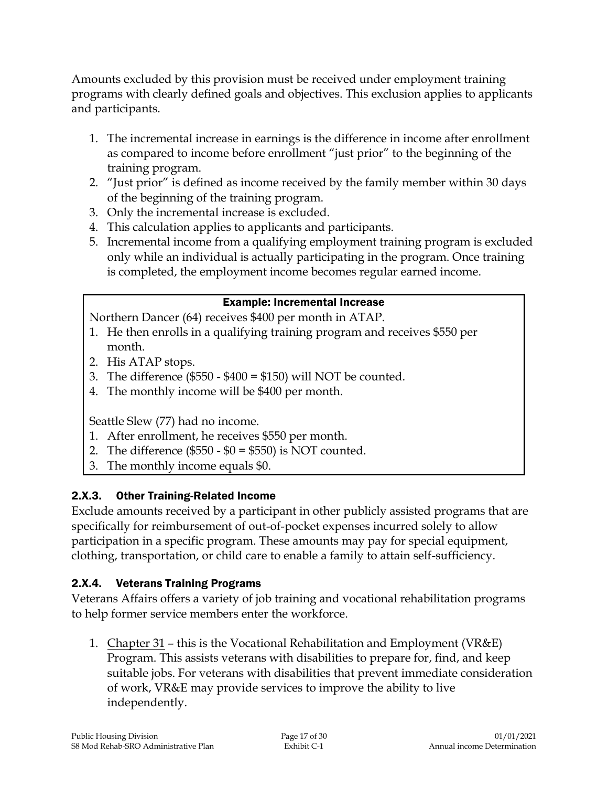Amounts excluded by this provision must be received under employment training programs with clearly defined goals and objectives. This exclusion applies to applicants and participants.

- 1. The incremental increase in earnings is the difference in income after enrollment as compared to income before enrollment "just prior" to the beginning of the training program.
- 2. "Just prior" is defined as income received by the family member within 30 days of the beginning of the training program.
- 3. Only the incremental increase is excluded.
- 4. This calculation applies to applicants and participants.
- 5. Incremental income from a qualifying employment training program is excluded only while an individual is actually participating in the program. Once training is completed, the employment income becomes regular earned income.

## Example: Incremental Increase

Northern Dancer (64) receives \$400 per month in ATAP.

- 1. He then enrolls in a qualifying training program and receives \$550 per month.
- 2. His ATAP stops.
- 3. The difference  $(\$550 \$400 = \$150)$  will NOT be counted.
- 4. The monthly income will be \$400 per month.

Seattle Slew (77) had no income.

- 1. After enrollment, he receives \$550 per month.
- 2. The difference  $(\$550 \$0 = \$550)$  is NOT counted.
- 3. The monthly income equals \$0.

# 2.X.3. Other Training-Related Income

Exclude amounts received by a participant in other publicly assisted programs that are specifically for reimbursement of out-of-pocket expenses incurred solely to allow participation in a specific program. These amounts may pay for special equipment, clothing, transportation, or child care to enable a family to attain self-sufficiency.

## 2.X.4. Veterans Training Programs

Veterans Affairs offers a variety of job training and vocational rehabilitation programs to help former service members enter the workforce.

1. Chapter 31 – this is the Vocational Rehabilitation and Employment (VR&E) Program. This assists veterans with disabilities to prepare for, find, and keep suitable jobs. For veterans with disabilities that prevent immediate consideration of work, VR&E may provide services to improve the ability to live independently.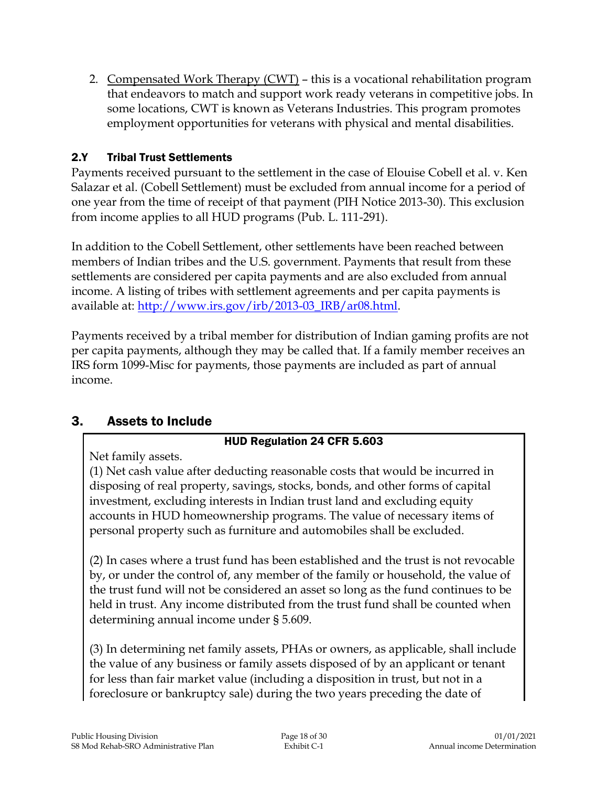2. Compensated Work Therapy (CWT) – this is a vocational rehabilitation program that endeavors to match and support work ready veterans in competitive jobs. In some locations, CWT is known as Veterans Industries. This program promotes employment opportunities for veterans with physical and mental disabilities.

## 2.Y Tribal Trust Settlements

Payments received pursuant to the settlement in the case of Elouise Cobell et al. v. Ken Salazar et al. (Cobell Settlement) must be excluded from annual income for a period of one year from the time of receipt of that payment (PIH Notice 2013-30). This exclusion from income applies to all HUD programs (Pub. L. 111-291).

In addition to the Cobell Settlement, other settlements have been reached between members of Indian tribes and the U.S. government. Payments that result from these settlements are considered per capita payments and are also excluded from annual income. A listing of tribes with settlement agreements and per capita payments is available at: [http://www.irs.gov/irb/2013-03\\_IRB/ar08.html.](http://www.irs.gov/irb/2013-03_IRB/ar08.html)

Payments received by a tribal member for distribution of Indian gaming profits are not per capita payments, although they may be called that. If a family member receives an IRS form 1099-Misc for payments, those payments are included as part of annual income.

# 3. Assets to Include

## HUD Regulation 24 CFR 5.603

Net family assets.

(1) Net cash value after deducting reasonable costs that would be incurred in disposing of real property, savings, stocks, bonds, and other forms of capital investment, excluding interests in Indian trust land and excluding equity accounts in HUD homeownership programs. The value of necessary items of personal property such as furniture and automobiles shall be excluded.

(2) In cases where a trust fund has been established and the trust is not revocable by, or under the control of, any member of the family or household, the value of the trust fund will not be considered an asset so long as the fund continues to be held in trust. Any income distributed from the trust fund shall be counted when determining annual income under § 5.609.

(3) In determining net family assets, PHAs or owners, as applicable, shall include the value of any business or family assets disposed of by an applicant or tenant for less than fair market value (including a disposition in trust, but not in a foreclosure or bankruptcy sale) during the two years preceding the date of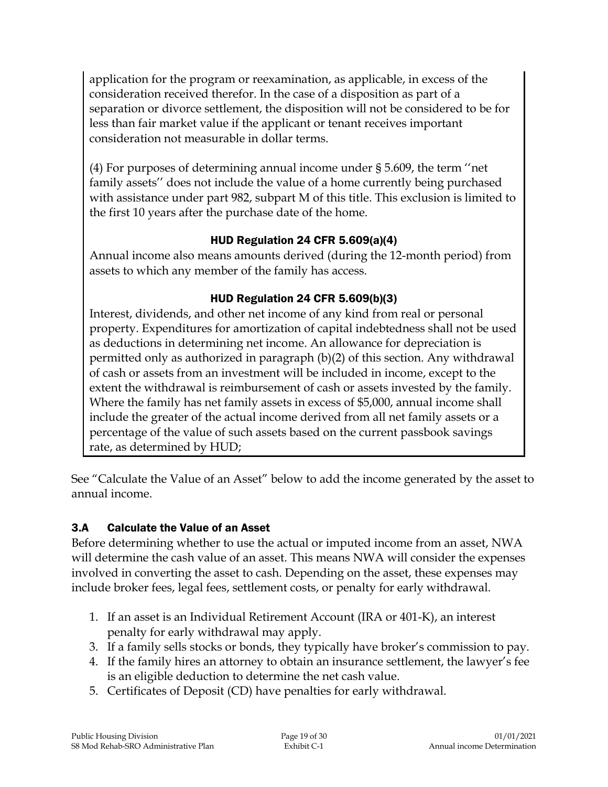application for the program or reexamination, as applicable, in excess of the consideration received therefor. In the case of a disposition as part of a separation or divorce settlement, the disposition will not be considered to be for less than fair market value if the applicant or tenant receives important consideration not measurable in dollar terms.

(4) For purposes of determining annual income under § 5.609, the term ''net family assets'' does not include the value of a home currently being purchased with assistance under part 982, subpart M of this title. This exclusion is limited to the first 10 years after the purchase date of the home.

## HUD Regulation 24 CFR 5.609(a)(4)

Annual income also means amounts derived (during the 12-month period) from assets to which any member of the family has access.

## HUD Regulation 24 CFR 5.609(b)(3)

Interest, dividends, and other net income of any kind from real or personal property. Expenditures for amortization of capital indebtedness shall not be used as deductions in determining net income. An allowance for depreciation is permitted only as authorized in paragraph (b)(2) of this section. Any withdrawal of cash or assets from an investment will be included in income, except to the extent the withdrawal is reimbursement of cash or assets invested by the family. Where the family has net family assets in excess of \$5,000, annual income shall include the greater of the actual income derived from all net family assets or a percentage of the value of such assets based on the current passbook savings rate, as determined by HUD;

See "Calculate the Value of an Asset" below to add the income generated by the asset to annual income.

## 3.A Calculate the Value of an Asset

Before determining whether to use the actual or imputed income from an asset, NWA will determine the cash value of an asset. This means NWA will consider the expenses involved in converting the asset to cash. Depending on the asset, these expenses may include broker fees, legal fees, settlement costs, or penalty for early withdrawal.

- 1. If an asset is an Individual Retirement Account (IRA or 401-K), an interest penalty for early withdrawal may apply.
- 3. If a family sells stocks or bonds, they typically have broker's commission to pay.
- 4. If the family hires an attorney to obtain an insurance settlement, the lawyer's fee is an eligible deduction to determine the net cash value.
- 5. Certificates of Deposit (CD) have penalties for early withdrawal.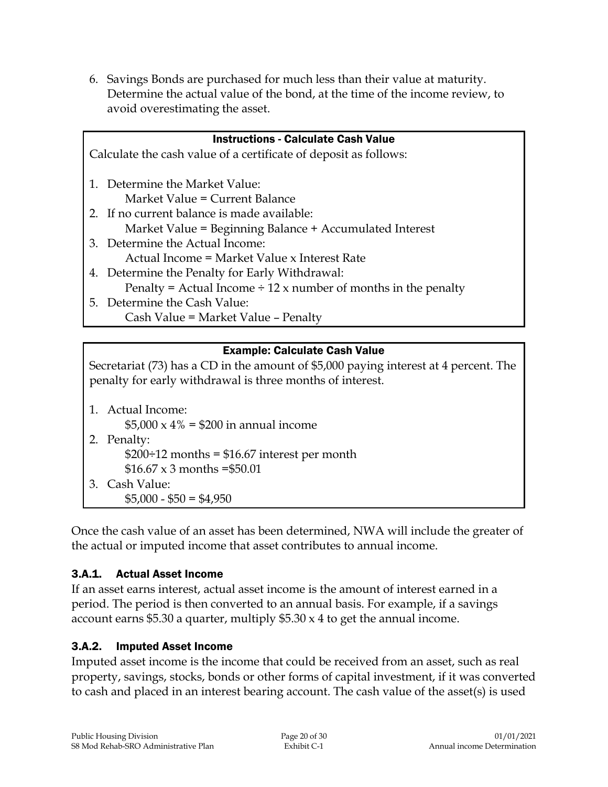6. Savings Bonds are purchased for much less than their value at maturity. Determine the actual value of the bond, at the time of the income review, to avoid overestimating the asset.

| <b>Instructions - Calculate Cash Value</b>                                       |  |  |
|----------------------------------------------------------------------------------|--|--|
| Calculate the cash value of a certificate of deposit as follows:                 |  |  |
| 1. Determine the Market Value:                                                   |  |  |
|                                                                                  |  |  |
| Market Value = Current Balance                                                   |  |  |
| 2. If no current balance is made available:                                      |  |  |
| Market Value = Beginning Balance + Accumulated Interest                          |  |  |
| 3. Determine the Actual Income:                                                  |  |  |
| Actual Income = Market Value x Interest Rate                                     |  |  |
| 4. Determine the Penalty for Early Withdrawal:                                   |  |  |
| Penalty = Actual Income $\div$ 12 x number of months in the penalty              |  |  |
| 5. Determine the Cash Value:                                                     |  |  |
| Cash Value = Market Value - Penalty                                              |  |  |
|                                                                                  |  |  |
| <b>Example: Calculate Cash Value</b>                                             |  |  |
| Secretariat (73) has a CD in the amount of \$5,000 paying interest at 4 percent. |  |  |
| penalty for early withdrawal is three months of interest                         |  |  |

Secretariat (73) has a CD in the amount of \$5,000 paying interest at 4 percent. The penalty for early withdrawal is three months of interest.

| 1. Actual Income:                                  |
|----------------------------------------------------|
| $$5,000 \times 4\% = $200$ in annual income        |
| 2. Penalty:                                        |
| $$200 \div 12$ months = \$16.67 interest per month |
| \$16.67 x 3 months = \$50.01                       |
| 3. Cash Value:                                     |
| $$5,000 - $50 = $4,950$                            |

Once the cash value of an asset has been determined, NWA will include the greater of the actual or imputed income that asset contributes to annual income.

## 3.A.1. Actual Asset Income

If an asset earns interest, actual asset income is the amount of interest earned in a period. The period is then converted to an annual basis. For example, if a savings account earns \$5.30 a quarter, multiply  $$5.30 \times 4$  to get the annual income.

## 3.A.2. Imputed Asset Income

Imputed asset income is the income that could be received from an asset, such as real property, savings, stocks, bonds or other forms of capital investment, if it was converted to cash and placed in an interest bearing account. The cash value of the asset(s) is used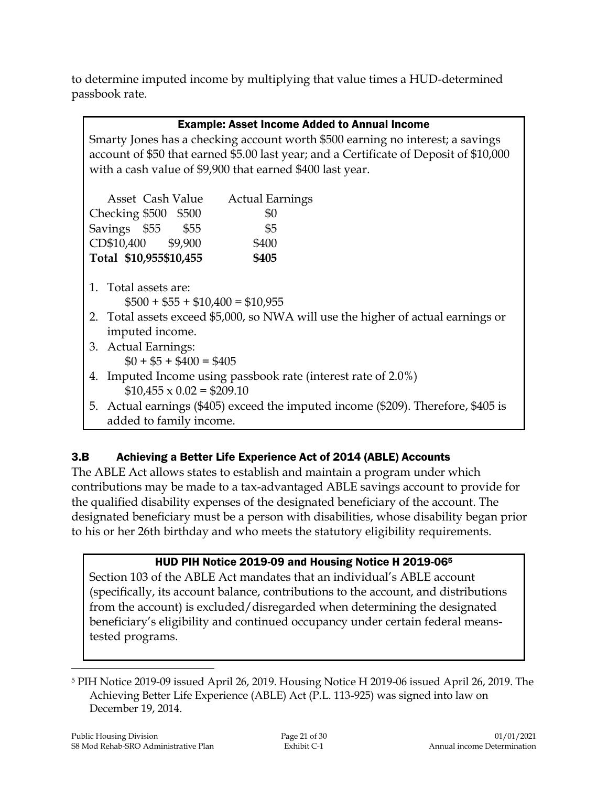to determine imputed income by multiplying that value times a HUD-determined passbook rate.

| <b>Example: Asset Income Added to Annual Income</b>                                    |  |  |
|----------------------------------------------------------------------------------------|--|--|
| Smarty Jones has a checking account worth \$500 earning no interest; a savings         |  |  |
| account of \$50 that earned \$5.00 last year; and a Certificate of Deposit of \$10,000 |  |  |
| with a cash value of \$9,900 that earned \$400 last year.                              |  |  |
|                                                                                        |  |  |
| Asset Cash Value<br><b>Actual Earnings</b>                                             |  |  |
| Checking \$500 \$500<br>\$0                                                            |  |  |
| Savings \$55 \$55<br>\$5                                                               |  |  |
| CD\$10,400 \$9,900<br>\$400                                                            |  |  |
| Total \$10,955\$10,455<br>\$405                                                        |  |  |
|                                                                                        |  |  |
| 1. Total assets are:                                                                   |  |  |
| $$500 + $55 + $10,400 = $10,955$                                                       |  |  |
| 2. Total assets exceed \$5,000, so NWA will use the higher of actual earnings or       |  |  |
| imputed income.                                                                        |  |  |
| 3. Actual Earnings:                                                                    |  |  |
| $$0 + $5 + $400 = $405$                                                                |  |  |
| 4. Imputed Income using passbook rate (interest rate of 2.0%)                          |  |  |
| $$10,455 \times 0.02 = $209.10$                                                        |  |  |
| 5. Actual earnings (\$405) exceed the imputed income (\$209). Therefore, \$405 is      |  |  |

# added to family income.

# 3.B Achieving a Better Life Experience Act of 2014 (ABLE) Accounts

The ABLE Act allows states to establish and maintain a program under which contributions may be made to a tax-advantaged ABLE savings account to provide for the qualified disability expenses of the designated beneficiary of the account. The designated beneficiary must be a person with disabilities, whose disability began prior to his or her 26th birthday and who meets the statutory eligibility requirements.

# HUD PIH Notice 2019-09 and Housing Notice H 2019-06<sup>5</sup>

Section 103 of the ABLE Act mandates that an individual's ABLE account (specifically, its account balance, contributions to the account, and distributions from the account) is excluded/disregarded when determining the designated beneficiary's eligibility and continued occupancy under certain federal meanstested programs.

 $\overline{a}$ <sup>5</sup> PIH Notice 2019-09 issued April 26, 2019. Housing Notice H 2019-06 issued April 26, 2019. The Achieving Better Life Experience (ABLE) Act (P.L. 113-925) was signed into law on December 19, 2014.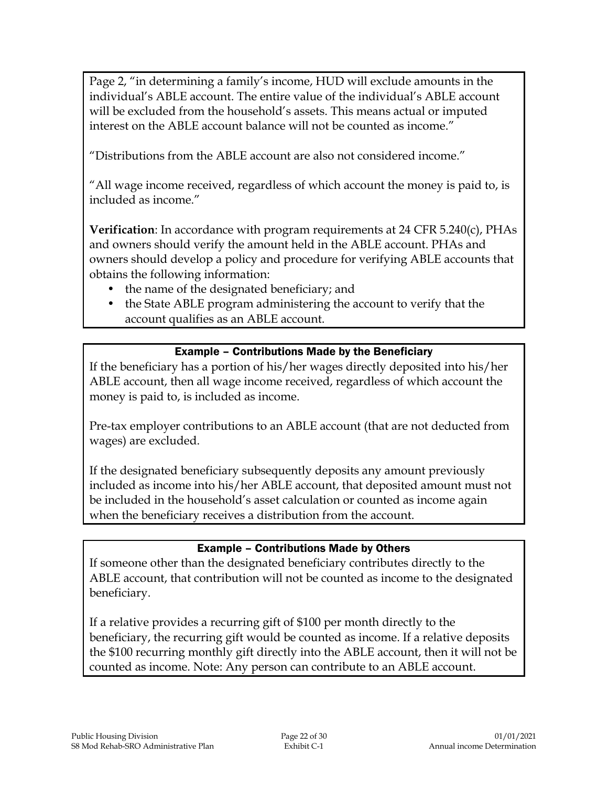Page 2, "in determining a family's income, HUD will exclude amounts in the individual's ABLE account. The entire value of the individual's ABLE account will be excluded from the household's assets. This means actual or imputed interest on the ABLE account balance will not be counted as income."

"Distributions from the ABLE account are also not considered income."

"All wage income received, regardless of which account the money is paid to, is included as income."

**Verification**: In accordance with program requirements at 24 CFR 5.240(c), PHAs and owners should verify the amount held in the ABLE account. PHAs and owners should develop a policy and procedure for verifying ABLE accounts that obtains the following information:

- the name of the designated beneficiary; and
- the State ABLE program administering the account to verify that the account qualifies as an ABLE account.

#### Example – Contributions Made by the Beneficiary

If the beneficiary has a portion of his/her wages directly deposited into his/her ABLE account, then all wage income received, regardless of which account the money is paid to, is included as income.

Pre-tax employer contributions to an ABLE account (that are not deducted from wages) are excluded.

If the designated beneficiary subsequently deposits any amount previously included as income into his/her ABLE account, that deposited amount must not be included in the household's asset calculation or counted as income again when the beneficiary receives a distribution from the account.

#### Example – Contributions Made by Others

If someone other than the designated beneficiary contributes directly to the ABLE account, that contribution will not be counted as income to the designated beneficiary.

If a relative provides a recurring gift of \$100 per month directly to the beneficiary, the recurring gift would be counted as income. If a relative deposits the \$100 recurring monthly gift directly into the ABLE account, then it will not be counted as income. Note: Any person can contribute to an ABLE account.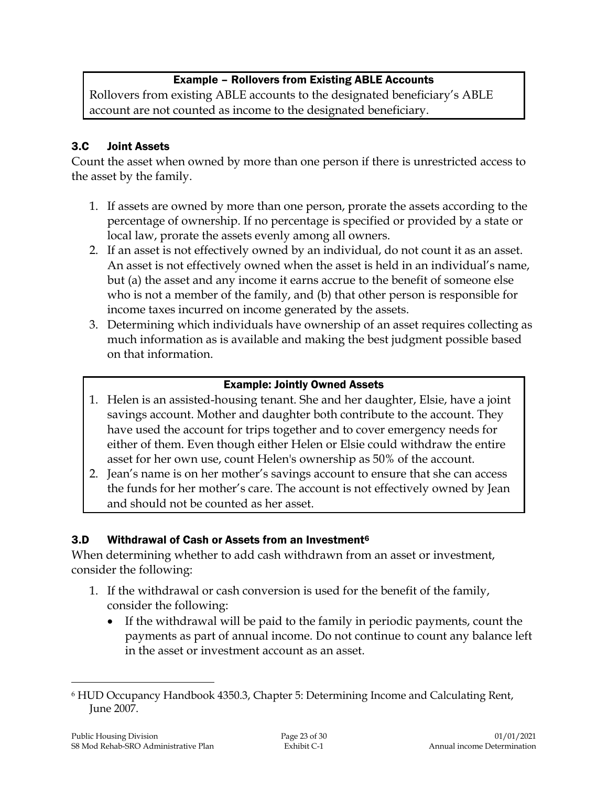## Example – Rollovers from Existing ABLE Accounts

Rollovers from existing ABLE accounts to the designated beneficiary's ABLE account are not counted as income to the designated beneficiary.

### 3.C Joint Assets

Count the asset when owned by more than one person if there is unrestricted access to the asset by the family.

- 1. If assets are owned by more than one person, prorate the assets according to the percentage of ownership. If no percentage is specified or provided by a state or local law, prorate the assets evenly among all owners.
- 2. If an asset is not effectively owned by an individual, do not count it as an asset. An asset is not effectively owned when the asset is held in an individual's name, but (a) the asset and any income it earns accrue to the benefit of someone else who is not a member of the family, and (b) that other person is responsible for income taxes incurred on income generated by the assets.
- 3. Determining which individuals have ownership of an asset requires collecting as much information as is available and making the best judgment possible based on that information.

#### Example: Jointly Owned Assets

- 1. Helen is an assisted-housing tenant. She and her daughter, Elsie, have a joint savings account. Mother and daughter both contribute to the account. They have used the account for trips together and to cover emergency needs for either of them. Even though either Helen or Elsie could withdraw the entire asset for her own use, count Helen's ownership as 50% of the account.
- 2. Jean's name is on her mother's savings account to ensure that she can access the funds for her mother's care. The account is not effectively owned by Jean and should not be counted as her asset.

#### 3.D Withdrawal of Cash or Assets from an Investment<sup>6</sup>

When determining whether to add cash withdrawn from an asset or investment, consider the following:

- 1. If the withdrawal or cash conversion is used for the benefit of the family, consider the following:
	- If the withdrawal will be paid to the family in periodic payments, count the payments as part of annual income. Do not continue to count any balance left in the asset or investment account as an asset.

 $\overline{a}$ 

<sup>6</sup> HUD Occupancy Handbook 4350.3, Chapter 5: Determining Income and Calculating Rent, June 2007.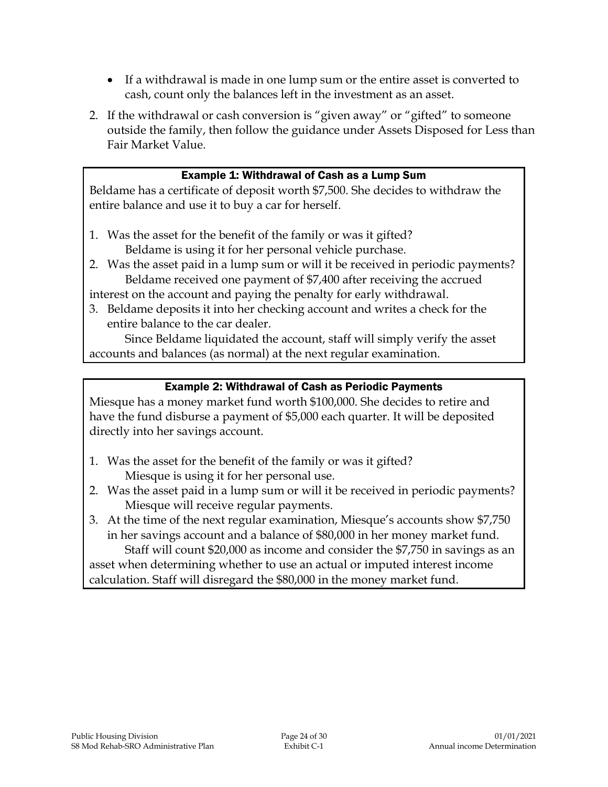- If a withdrawal is made in one lump sum or the entire asset is converted to cash, count only the balances left in the investment as an asset.
- 2. If the withdrawal or cash conversion is "given away" or "gifted" to someone outside the family, then follow the guidance under Assets Disposed for Less than Fair Market Value.

#### Example 1: Withdrawal of Cash as a Lump Sum

Beldame has a certificate of deposit worth \$7,500. She decides to withdraw the entire balance and use it to buy a car for herself.

- 1. Was the asset for the benefit of the family or was it gifted? Beldame is using it for her personal vehicle purchase.
- 2. Was the asset paid in a lump sum or will it be received in periodic payments? Beldame received one payment of \$7,400 after receiving the accrued

interest on the account and paying the penalty for early withdrawal.

3. Beldame deposits it into her checking account and writes a check for the entire balance to the car dealer.

Since Beldame liquidated the account, staff will simply verify the asset accounts and balances (as normal) at the next regular examination.

#### Example 2: Withdrawal of Cash as Periodic Payments

Miesque has a money market fund worth \$100,000. She decides to retire and have the fund disburse a payment of \$5,000 each quarter. It will be deposited directly into her savings account.

- 1. Was the asset for the benefit of the family or was it gifted? Miesque is using it for her personal use.
- 2. Was the asset paid in a lump sum or will it be received in periodic payments? Miesque will receive regular payments.
- 3. At the time of the next regular examination, Miesque's accounts show \$7,750 in her savings account and a balance of \$80,000 in her money market fund.

Staff will count \$20,000 as income and consider the \$7,750 in savings as an asset when determining whether to use an actual or imputed interest income calculation. Staff will disregard the \$80,000 in the money market fund.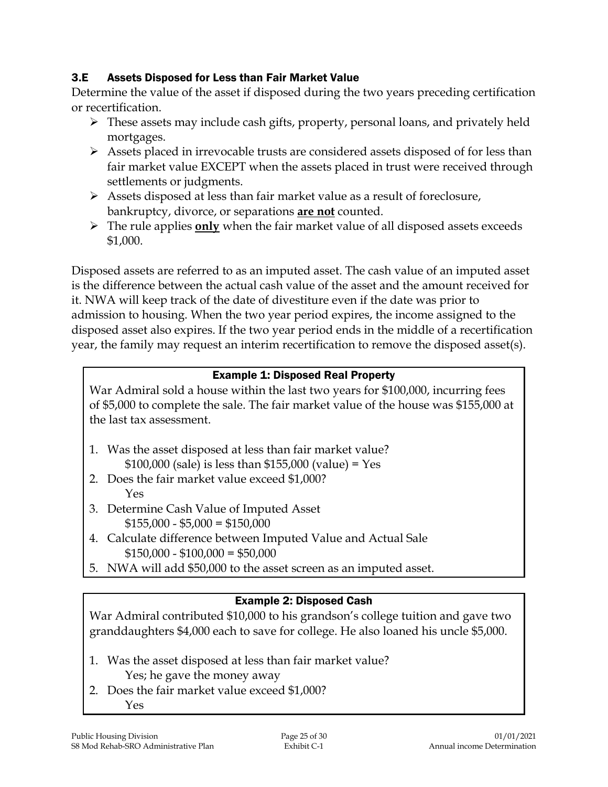### 3.E Assets Disposed for Less than Fair Market Value

Determine the value of the asset if disposed during the two years preceding certification or recertification.

- $\triangleright$  These assets may include cash gifts, property, personal loans, and privately held mortgages.
- $\triangleright$  Assets placed in irrevocable trusts are considered assets disposed of for less than fair market value EXCEPT when the assets placed in trust were received through settlements or judgments.
- $\triangleright$  Assets disposed at less than fair market value as a result of foreclosure, bankruptcy, divorce, or separations **are not** counted.
- The rule applies **only** when the fair market value of all disposed assets exceeds \$1,000.

Disposed assets are referred to as an imputed asset. The cash value of an imputed asset is the difference between the actual cash value of the asset and the amount received for it. NWA will keep track of the date of divestiture even if the date was prior to admission to housing. When the two year period expires, the income assigned to the disposed asset also expires. If the two year period ends in the middle of a recertification year, the family may request an interim recertification to remove the disposed asset(s).

## Example 1: Disposed Real Property

War Admiral sold a house within the last two years for \$100,000, incurring fees of \$5,000 to complete the sale. The fair market value of the house was \$155,000 at the last tax assessment.

- 1. Was the asset disposed at less than fair market value?  $$100,000$  (sale) is less than  $$155,000$  (value) = Yes
- 2. Does the fair market value exceed \$1,000? Yes
- 3. Determine Cash Value of Imputed Asset  $$155,000 - $5,000 = $150,000$
- 4. Calculate difference between Imputed Value and Actual Sale  $$150,000 - $100,000 = $50,000$
- 5. NWA will add \$50,000 to the asset screen as an imputed asset.

#### Example 2: Disposed Cash

War Admiral contributed \$10,000 to his grandson's college tuition and gave two granddaughters \$4,000 each to save for college. He also loaned his uncle \$5,000.

- 1. Was the asset disposed at less than fair market value? Yes; he gave the money away
- 2. Does the fair market value exceed \$1,000? Yes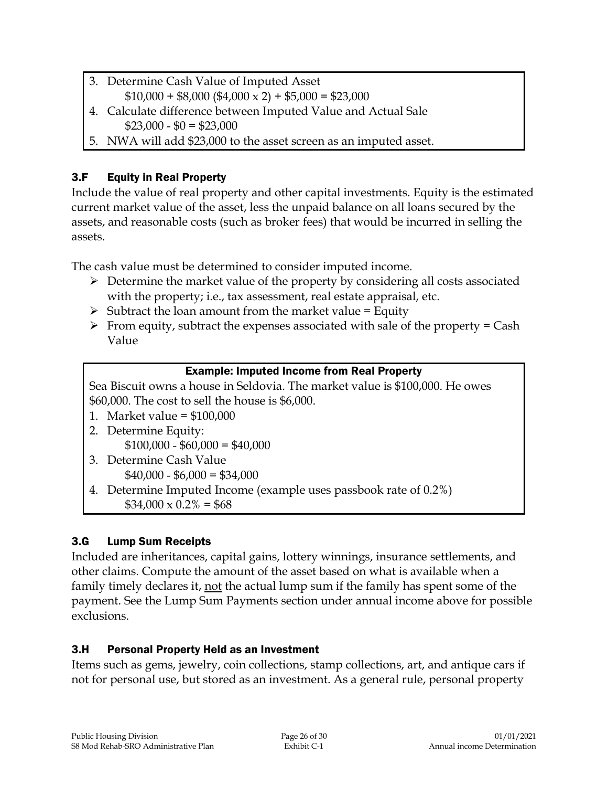- 3. Determine Cash Value of Imputed Asset  $$10,000 + $8,000 ($4,000 \times 2) + $5,000 = $23,000$
- 4. Calculate difference between Imputed Value and Actual Sale
	- $$23,000 $0 = $23,000$
- 5. NWA will add \$23,000 to the asset screen as an imputed asset.

# 3.F Equity in Real Property

Include the value of real property and other capital investments. Equity is the estimated current market value of the asset, less the unpaid balance on all loans secured by the assets, and reasonable costs (such as broker fees) that would be incurred in selling the assets.

The cash value must be determined to consider imputed income.

- $\triangleright$  Determine the market value of the property by considering all costs associated with the property; i.e., tax assessment, real estate appraisal, etc.
- $\triangleright$  Subtract the loan amount from the market value = Equity
- $\triangleright$  From equity, subtract the expenses associated with sale of the property = Cash Value

# Example: Imputed Income from Real Property

Sea Biscuit owns a house in Seldovia. The market value is \$100,000. He owes \$60,000. The cost to sell the house is \$6,000.

- 1. Market value = \$100,000
- 2. Determine Equity:  $$100,000 - $60,000 = $40,000$
- 3. Determine Cash Value  $$40,000 - $6,000 = $34,000$
- 4. Determine Imputed Income (example uses passbook rate of 0.2%)  $$34,000 \times 0.2\% = $68$

# 3.G Lump Sum Receipts

Included are inheritances, capital gains, lottery winnings, insurance settlements, and other claims. Compute the amount of the asset based on what is available when a family timely declares it, not the actual lump sum if the family has spent some of the payment. See the Lump Sum Payments section under annual income above for possible exclusions.

# 3.H Personal Property Held as an Investment

Items such as gems, jewelry, coin collections, stamp collections, art, and antique cars if not for personal use, but stored as an investment. As a general rule, personal property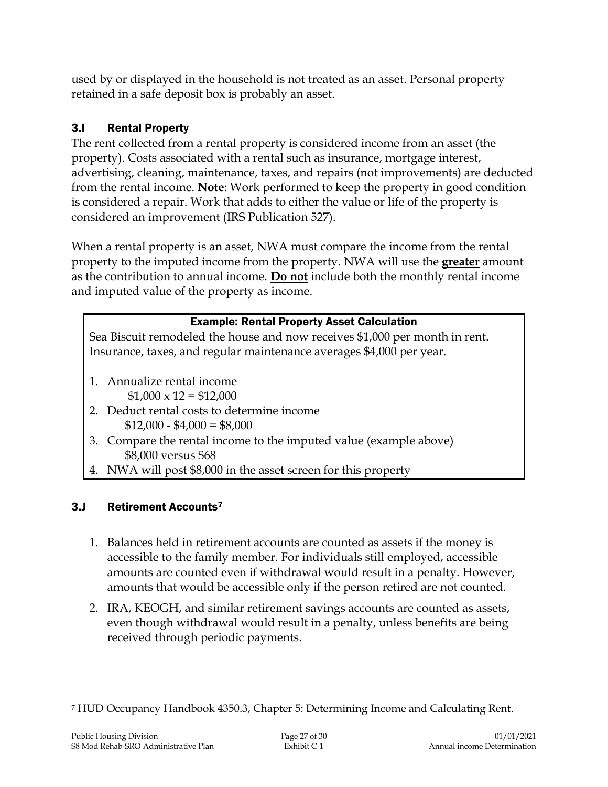used by or displayed in the household is not treated as an asset. Personal property retained in a safe deposit box is probably an asset.

# 3.I Rental Property

The rent collected from a rental property is considered income from an asset (the property). Costs associated with a rental such as insurance, mortgage interest, advertising, cleaning, maintenance, taxes, and repairs (not improvements) are deducted from the rental income. **Note**: Work performed to keep the property in good condition is considered a repair. Work that adds to either the value or life of the property is considered an improvement (IRS Publication 527).

When a rental property is an asset, NWA must compare the income from the rental property to the imputed income from the property. NWA will use the **greater** amount as the contribution to annual income. **Do not** include both the monthly rental income and imputed value of the property as income.

## Example: Rental Property Asset Calculation

Sea Biscuit remodeled the house and now receives \$1,000 per month in rent. Insurance, taxes, and regular maintenance averages \$4,000 per year.

- 1. Annualize rental income  $$1,000 \times 12 = $12,000$
- 2. Deduct rental costs to determine income  $$12,000 - $4,000 = $8,000$
- 3. Compare the rental income to the imputed value (example above) \$8,000 versus \$68
- 4. NWA will post \$8,000 in the asset screen for this property

# 3.J Retirement Accounts<sup>7</sup>

- 1. Balances held in retirement accounts are counted as assets if the money is accessible to the family member. For individuals still employed, accessible amounts are counted even if withdrawal would result in a penalty. However, amounts that would be accessible only if the person retired are not counted.
- 2. IRA, KEOGH, and similar retirement savings accounts are counted as assets, even though withdrawal would result in a penalty, unless benefits are being received through periodic payments.

 $\overline{a}$ <sup>7</sup> HUD Occupancy Handbook 4350.3, Chapter 5: Determining Income and Calculating Rent.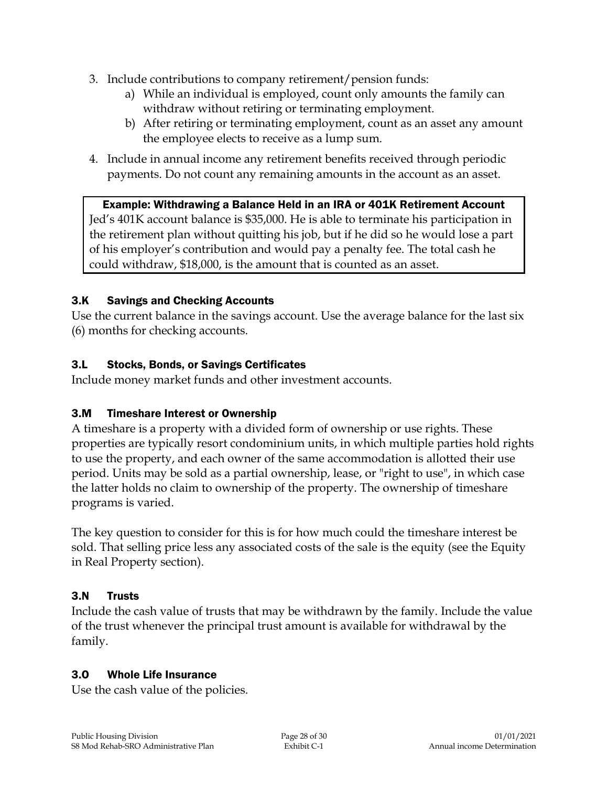- 3. Include contributions to company retirement/pension funds:
	- a) While an individual is employed, count only amounts the family can withdraw without retiring or terminating employment.
	- b) After retiring or terminating employment, count as an asset any amount the employee elects to receive as a lump sum.
- 4. Include in annual income any retirement benefits received through periodic payments. Do not count any remaining amounts in the account as an asset.

## Example: Withdrawing a Balance Held in an IRA or 401K Retirement Account Jed's 401K account balance is \$35,000. He is able to terminate his participation in the retirement plan without quitting his job, but if he did so he would lose a part of his employer's contribution and would pay a penalty fee. The total cash he could withdraw, \$18,000, is the amount that is counted as an asset.

## 3.K Savings and Checking Accounts

Use the current balance in the savings account. Use the average balance for the last six (6) months for checking accounts.

#### 3.L Stocks, Bonds, or Savings Certificates

Include money market funds and other investment accounts.

## 3.M Timeshare Interest or Ownership

A timeshare is a property with a divided form of ownership or use rights. These properties are typically resort condominium units, in which multiple parties hold rights to use the property, and each owner of the same accommodation is allotted their use period. Units may be sold as a partial ownership, lease, or "right to use", in which case the latter holds no claim to ownership of the property. The ownership of timeshare programs is varied.

The key question to consider for this is for how much could the timeshare interest be sold. That selling price less any associated costs of the sale is the equity (see the Equity in Real Property section).

#### 3.N Trusts

Include the cash value of trusts that may be withdrawn by the family. Include the value of the trust whenever the principal trust amount is available for withdrawal by the family.

#### 3.O Whole Life Insurance

Use the cash value of the policies.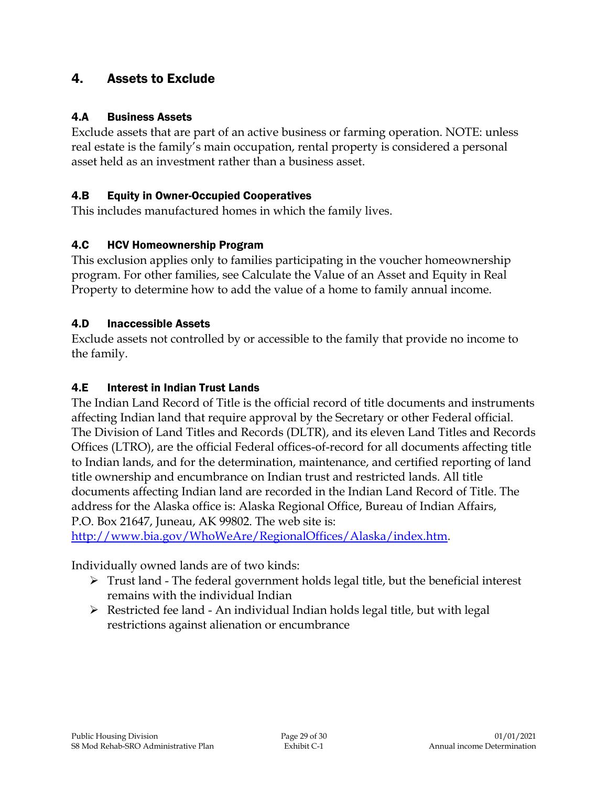# 4. Assets to Exclude

#### 4.A Business Assets

Exclude assets that are part of an active business or farming operation. NOTE: unless real estate is the family's main occupation, rental property is considered a personal asset held as an investment rather than a business asset.

#### 4.B Equity in Owner-Occupied Cooperatives

This includes manufactured homes in which the family lives.

#### 4.C HCV Homeownership Program

This exclusion applies only to families participating in the voucher homeownership program. For other families, see Calculate the Value of an Asset and Equity in Real Property to determine how to add the value of a home to family annual income.

#### 4.D Inaccessible Assets

Exclude assets not controlled by or accessible to the family that provide no income to the family.

#### 4.E Interest in Indian Trust Lands

The Indian Land Record of Title is the official record of title documents and instruments affecting Indian land that require approval by the Secretary or other Federal official. The Division of Land Titles and Records (DLTR), and its eleven Land Titles and Records Offices (LTRO), are the official Federal offices-of-record for all documents affecting title to Indian lands, and for the determination, maintenance, and certified reporting of land title ownership and encumbrance on Indian trust and restricted lands. All title documents affecting Indian land are recorded in the Indian Land Record of Title. The address for the Alaska office is: Alaska Regional Office, Bureau of Indian Affairs, P.O. Box 21647, Juneau, AK 99802. The web site is:

[http://www.bia.gov/WhoWeAre/RegionalOffices/Alaska/index.htm.](http://www.bia.gov/WhoWeAre/RegionalOffices/Alaska/index.htm)

Individually owned lands are of two kinds:

- $\triangleright$  Trust land The federal government holds legal title, but the beneficial interest remains with the individual Indian
- Restricted fee land An individual Indian holds legal title, but with legal restrictions against alienation or encumbrance